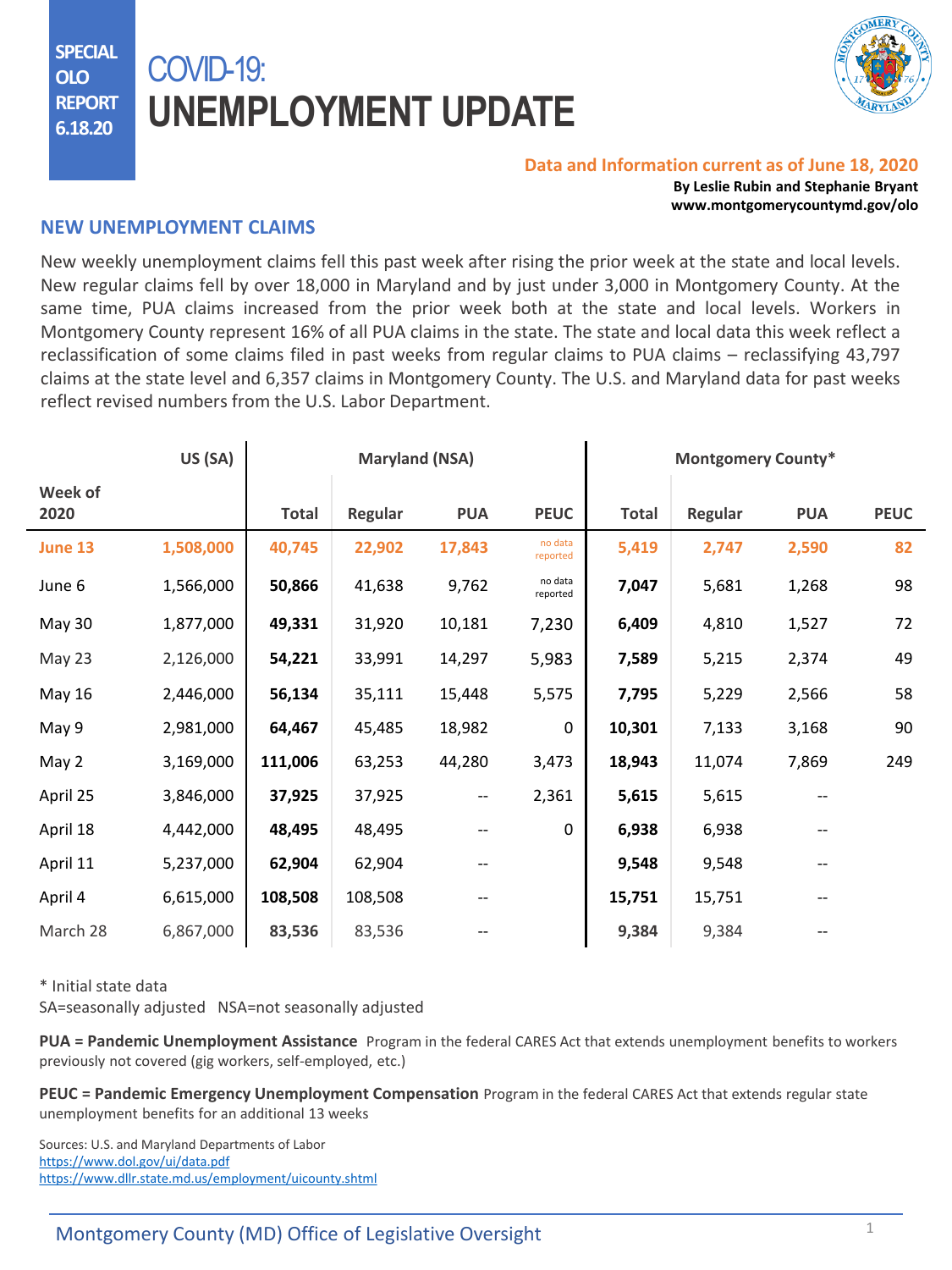**SPECIAL OLO REPORT 6.18.20**

## COVID-19: **UNEMPLOYMENT UPDATE**



## **Data and Information current as of June 18, 2020**

**By Leslie Rubin and Stephanie Bryant www.montgomerycountymd.gov/olo**

## **NEW UNEMPLOYMENT CLAIMS**

New weekly unemployment claims fell this past week after rising the prior week at the state and local levels. New regular claims fell by over 18,000 in Maryland and by just under 3,000 in Montgomery County. At the same time, PUA claims increased from the prior week both at the state and local levels. Workers in Montgomery County represent 16% of all PUA claims in the state. The state and local data this week reflect a reclassification of some claims filed in past weeks from regular claims to PUA claims – reclassifying 43,797 claims at the state level and 6,357 claims in Montgomery County. The U.S. and Maryland data for past weeks reflect revised numbers from the U.S. Labor Department.

|                 | US (SA)   | <b>Maryland (NSA)</b> |         |                               |                     | <b>Montgomery County*</b> |         |            |             |
|-----------------|-----------|-----------------------|---------|-------------------------------|---------------------|---------------------------|---------|------------|-------------|
| Week of<br>2020 |           | Total                 | Regular | <b>PUA</b>                    | <b>PEUC</b>         | <b>Total</b>              | Regular | <b>PUA</b> | <b>PEUC</b> |
| June 13         | 1,508,000 | 40,745                | 22,902  | 17,843                        | no data<br>reported | 5,419                     | 2,747   | 2,590      | 82          |
| June 6          | 1,566,000 | 50,866                | 41,638  | 9,762                         | no data<br>reported | 7,047                     | 5,681   | 1,268      | 98          |
| May 30          | 1,877,000 | 49,331                | 31,920  | 10,181                        | 7,230               | 6,409                     | 4,810   | 1,527      | 72          |
| May 23          | 2,126,000 | 54,221                | 33,991  | 14,297                        | 5,983               | 7,589                     | 5,215   | 2,374      | 49          |
| May 16          | 2,446,000 | 56,134                | 35,111  | 15,448                        | 5,575               | 7,795                     | 5,229   | 2,566      | 58          |
| May 9           | 2,981,000 | 64,467                | 45,485  | 18,982                        | $\mathbf 0$         | 10,301                    | 7,133   | 3,168      | 90          |
| May 2           | 3,169,000 | 111,006               | 63,253  | 44,280                        | 3,473               | 18,943                    | 11,074  | 7,869      | 249         |
| April 25        | 3,846,000 | 37,925                | 37,925  | $\hspace{0.05cm} \textbf{--}$ | 2,361               | 5,615                     | 5,615   |            |             |
| April 18        | 4,442,000 | 48,495                | 48,495  |                               | 0                   | 6,938                     | 6,938   |            |             |
| April 11        | 5,237,000 | 62,904                | 62,904  |                               |                     | 9,548                     | 9,548   |            |             |
| April 4         | 6,615,000 | 108,508               | 108,508 |                               |                     | 15,751                    | 15,751  |            |             |
| March 28        | 6,867,000 | 83,536                | 83,536  |                               |                     | 9,384                     | 9,384   |            |             |

\* Initial state data

SA=seasonally adjusted NSA=not seasonally adjusted

**PUA = Pandemic Unemployment Assistance** Program in the federal CARES Act that extends unemployment benefits to workers previously not covered (gig workers, self-employed, etc.)

**PEUC = Pandemic Emergency Unemployment Compensation** Program in the federal CARES Act that extends regular state unemployment benefits for an additional 13 weeks

Sources: U.S. and Maryland Departments of Labor <https://www.dol.gov/ui/data.pdf> <https://www.dllr.state.md.us/employment/uicounty.shtml>